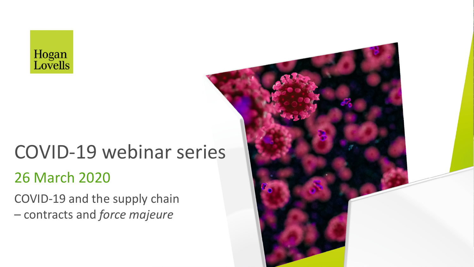

# 26 March 2020 COVID-19 webinar series

COVID-19 and the supply chain – contracts and *force majeure*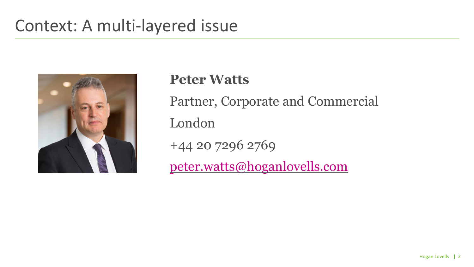### Context: A multi-layered issue



**Peter Watts** Partner, Corporate and Commercial London +44 20 7296 2769 [peter.watts@hoganlovells.com](mailto:peter.watts@?hoganlovells.com)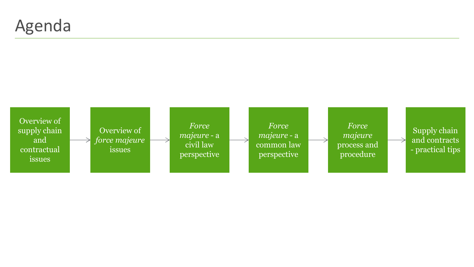### Agenda

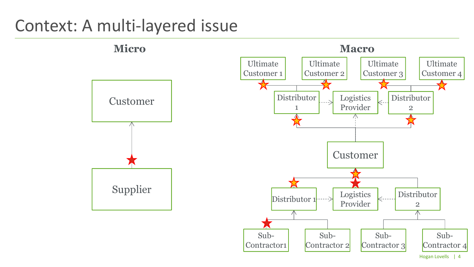### Context: A multi-layered issue

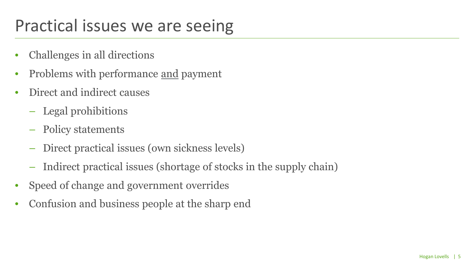# Practical issues we are seeing

- Challenges in all directions
- Problems with performance and payment
- Direct and indirect causes
	- Legal prohibitions
	- Policy statements
	- Direct practical issues (own sickness levels)
	- Indirect practical issues (shortage of stocks in the supply chain)
- Speed of change and government overrides
- Confusion and business people at the sharp end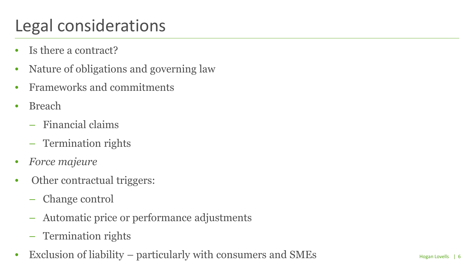# Legal considerations

- Is there a contract?
- Nature of obligations and governing law
- Frameworks and commitments
- Breach
	- Financial claims
	- Termination rights
- *Force majeure*
- Other contractual triggers:
	- Change control
	- Automatic price or performance adjustments
	- Termination rights
- Exclusion of liability particularly with consumers and SMEs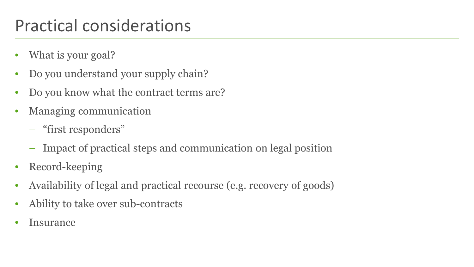# Practical considerations

- What is your goal?
- Do you understand your supply chain?
- Do you know what the contract terms are?
- Managing communication
	- "first responders"
	- Impact of practical steps and communication on legal position
- Record-keeping
- Availability of legal and practical recourse (e.g. recovery of goods)
- Ability to take over sub-contracts
- **Insurance**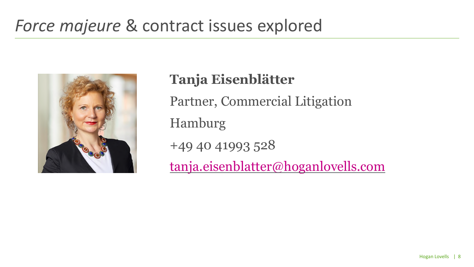## *Force majeure* & contract issues explored



**Tanja Eisenblätter** Partner, Commercial Litigation Hamburg +49 40 41993 528 [tanja.eisenblatter@hoganlovells.com](mailto:tanja.eisenblatter@?hoganlovells.com)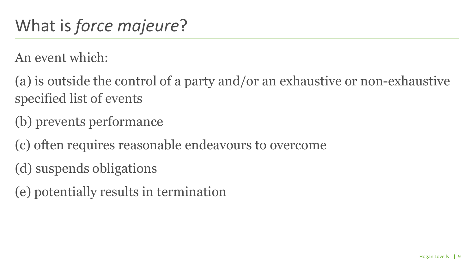An event which:

(a) is outside the control of a party and/or an exhaustive or non-exhaustive specified list of events

(b) prevents performance

(c) often requires reasonable endeavours to overcome

(d) suspends obligations

(e) potentially results in termination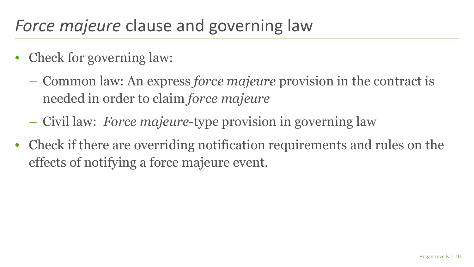# *Force majeure* clause and governing law

- Check for governing law:
	- Common law: An express *force majeure* provision in the contract is needed in order to claim *force majeure*
	- Civil law: *Force majeure*-type provision in governing law
- Check if there are overriding notification requirements and rules on the effects of notifying a force majeure event.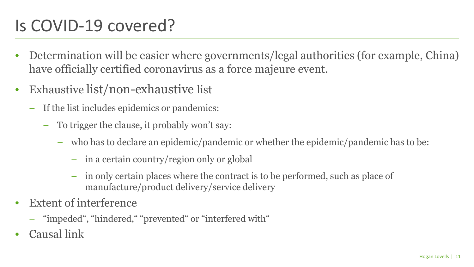# Is COVID-19 covered?

- Determination will be easier where governments/legal authorities (for example, China) have officially certified coronavirus as a force majeure event.
- Exhaustive list/non-exhaustive list
	- If the list includes epidemics or pandemics:
		- To trigger the clause, it probably won't say:
			- who has to declare an epidemic/pandemic or whether the epidemic/pandemic has to be:
				- in a certain country/region only or global
				- in only certain places where the contract is to be performed, such as place of manufacture/product delivery/service delivery
- Extent of interference
	- "impeded", "hindered," "prevented" or "interfered with"
- Causal link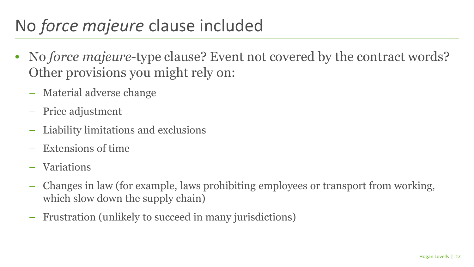# No *force majeure* clause included

- No *force majeure*-type clause? Event not covered by the contract words? Other provisions you might rely on:
	- Material adverse change
	- Price adjustment
	- Liability limitations and exclusions
	- Extensions of time
	- Variations
	- Changes in law (for example, laws prohibiting employees or transport from working, which slow down the supply chain)
	- Frustration (unlikely to succeed in many jurisdictions)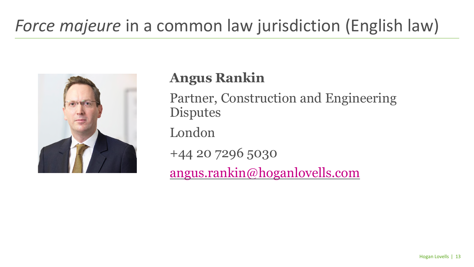# *Force majeure* in a common law jurisdiction (English law)



### **Angus Rankin**

Partner, Construction and Engineering **Disputes** 

London

+44 20 7296 5030

[angus.rankin@hoganlovells.com](mailto:angus.rankin@?hoganlovells.com)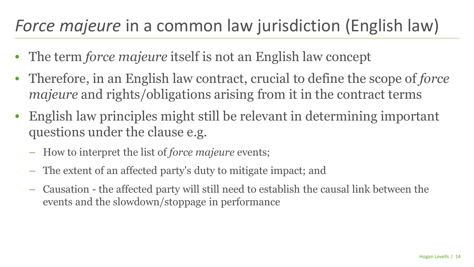# *Force majeure* in a common law jurisdiction (English law)

- The term *force majeure* itself is not an English law concept
- Therefore, in an English law contract, crucial to define the scope of *force majeure* and rights/obligations arising from it in the contract terms
- English law principles might still be relevant in determining important questions under the clause e.g.
	- How to interpret the list of *force majeure* events;
	- The extent of an affected party's duty to mitigate impact; and
	- Causation the affected party will still need to establish the causal link between the events and the slowdown/stoppage in performance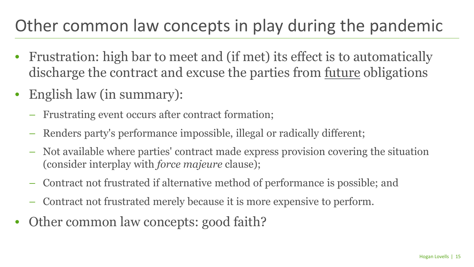# Other common law concepts in play during the pandemic

- Frustration: high bar to meet and (if met) its effect is to automatically discharge the contract and excuse the parties from future obligations
- English law (in summary):
	- Frustrating event occurs after contract formation;
	- Renders party's performance impossible, illegal or radically different;
	- Not available where parties' contract made express provision covering the situation (consider interplay with *force majeure* clause);
	- Contract not frustrated if alternative method of performance is possible; and
	- Contract not frustrated merely because it is more expensive to perform.
- Other common law concepts: good faith?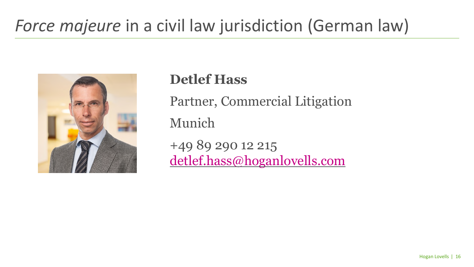# Force majeure in a civil law jurisdiction (German law)



**Detlef Hass** Partner, Commercial Litigation Munich +49 89 290 12 215 [detlef.hass@hoganlovells.com](mailto:detlef.hass@?hoganlovells.com)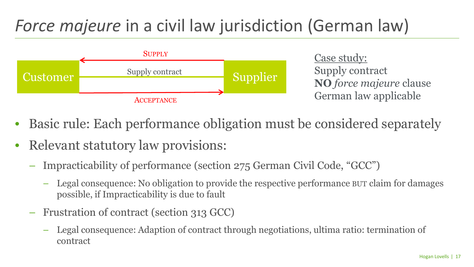# *Force majeure* in a civil law jurisdiction (German law)



Case study: Supply contract **NO** *force majeure* clause German law applicable

- Basic rule: Each performance obligation must be considered separately
- Relevant statutory law provisions:
	- Impracticability of performance (section 275 German Civil Code, "GCC")
		- Legal consequence: No obligation to provide the respective performance BUT claim for damages possible, if Impracticability is due to fault
	- Frustration of contract (section 313 GCC)
		- Legal consequence: Adaption of contract through negotiations, ultima ratio: termination of contract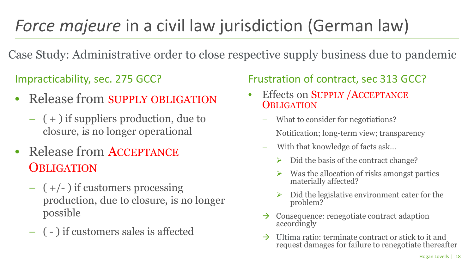# *Force majeure* in a civil law jurisdiction (German law)

Case Study: Administrative order to close respective supply business due to pandemic

- Release from SUPPLY OBLIGATION
	- ( + ) if suppliers production, due to closure, is no longer operational
- Release from ACCEPTANCE **OBLIGATION** 
	- $-$  ( $+/-$ ) if customers processing production, due to closure, is no longer possible
	- ( ) if customers sales is affected

#### Impracticability, sec. 275 GCC? Frustration of contract, sec 313 GCC?

- Effects on SUPPLY / ACCEPTANCE **OBLIGATION** 
	- What to consider for negotiations? Notification; long-term view; transparency
	- With that knowledge of facts ask…
		- $\triangleright$  Did the basis of the contract change?
		- Was the allocation of risks amongst parties materially affected?
		- Did the legislative environment cater for the problem?
	- $\rightarrow$  Consequence: renegotiate contract adaption accordingly
	- $\rightarrow$  Ultima ratio: terminate contract or stick to it and request damages for failure to renegotiate thereafter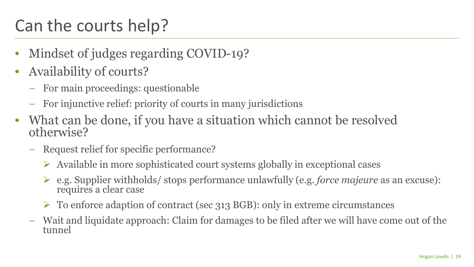# Can the courts help?

- Mindset of judges regarding COVID-19?
- Availability of courts?
	- For main proceedings: questionable
	- For injunctive relief: priority of courts in many jurisdictions
- What can be done, if you have a situation which cannot be resolved otherwise?
	- Request relief for specific performance?
		- $\triangleright$  Available in more sophisticated court systems globally in exceptional cases
		- e.g. Supplier withholds/ stops performance unlawfully (e.g. *force majeure* as an excuse): requires a clear case
		- $\triangleright$  To enforce adaption of contract (sec 313 BGB): only in extreme circumstances
	- Wait and liquidate approach: Claim for damages to be filed after we will have come out of the tunnel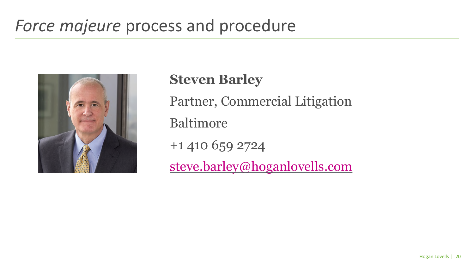# *Force majeure* process and procedure



**Steven Barley** Partner, Commercial Litigation Baltimore +1 410 659 2724 [steve.barley@hoganlovells.com](mailto:steve.barley@?hoganlovells.com)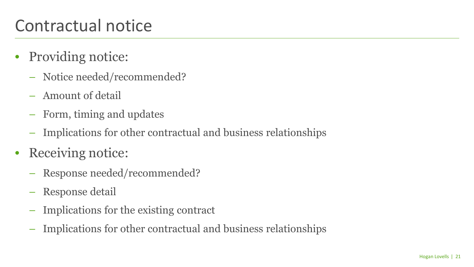# Contractual notice

- Providing notice:
	- Notice needed/recommended?
	- Amount of detail
	- Form, timing and updates
	- Implications for other contractual and business relationships
- Receiving notice:
	- Response needed/recommended?
	- Response detail
	- Implications for the existing contract
	- Implications for other contractual and business relationships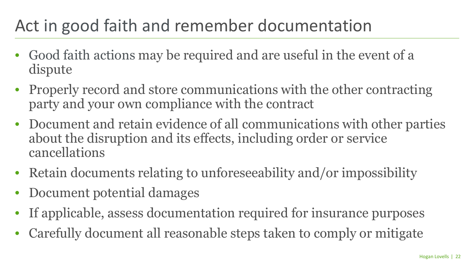# Act in good faith and remember documentation

- Good faith actions may be required and are useful in the event of a dispute
- Properly record and store communications with the other contracting party and your own compliance with the contract
- Document and retain evidence of all communications with other parties about the disruption and its effects, including order or service cancellations
- Retain documents relating to unforeseeability and/or impossibility
- Document potential damages
- If applicable, assess documentation required for insurance purposes
- Carefully document all reasonable steps taken to comply or mitigate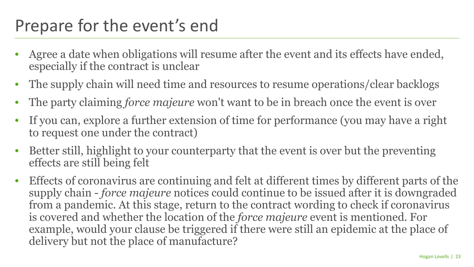# Prepare for the event's end

- Agree a date when obligations will resume after the event and its effects have ended, especially if the contract is unclear
- The supply chain will need time and resources to resume operations/clear backlogs
- The party claiming *force majeure* won't want to be in breach once the event is over
- If you can, explore a further extension of time for performance (you may have a right to request one under the contract)
- Better still, highlight to your counterparty that the event is over but the preventing effects are still being felt
- Effects of coronavirus are continuing and felt at different times by different parts of the supply chain - *force majeure* notices could continue to be issued after it is downgraded from a pandemic. At this stage, return to the contract wording to check if coronavirus is covered and whether the location of the *force majeure* event is mentioned. For example, would your clause be triggered if there were still an epidemic at the place of delivery but not the place of manufacture?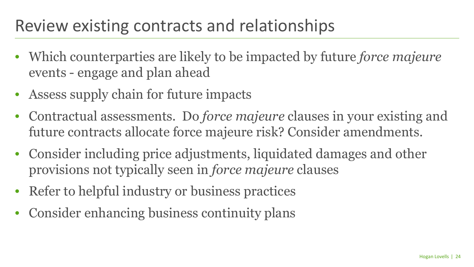## Review existing contracts and relationships

- Which counterparties are likely to be impacted by future *force majeure*  events - engage and plan ahead
- Assess supply chain for future impacts
- Contractual assessments. Do *force majeure* clauses in your existing and future contracts allocate force majeure risk? Consider amendments.
- Consider including price adjustments, liquidated damages and other provisions not typically seen in *force majeure* clauses
- Refer to helpful industry or business practices
- Consider enhancing business continuity plans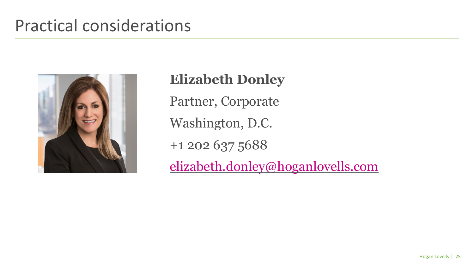### Practical considerations



**Elizabeth Donley** Partner, Corporate Washington, D.C. +1 202 637 5688 [elizabeth.donley@hoganlovells.com](mailto:elizabeth.donley@?hoganlovells.com)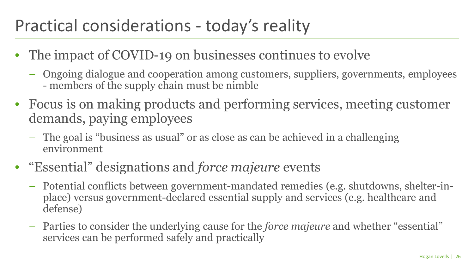# Practical considerations - today's reality

- The impact of COVID-19 on businesses continues to evolve
	- Ongoing dialogue and cooperation among customers, suppliers, governments, employees - members of the supply chain must be nimble
- Focus is on making products and performing services, meeting customer demands, paying employees
	- The goal is "business as usual" or as close as can be achieved in a challenging environment
- "Essential" designations and *force majeure* events
	- Potential conflicts between government-mandated remedies (e.g. shutdowns, shelter-inplace) versus government-declared essential supply and services (e.g. healthcare and defense)
	- Parties to consider the underlying cause for the *force majeure* and whether "essential" services can be performed safely and practically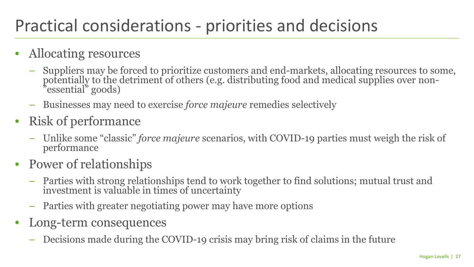# Practical considerations - priorities and decisions

- Allocating resources
	- Suppliers may be forced to prioritize customers and end-markets, allocating resources to some, potentially to the detriment of others (e.g. distributing food and medical supplies over non- 'essential" goods)
	- Businesses may need to exercise *force majeure* remedies selectively
- Risk of performance
	- Unlike some "classic" *force majeure* scenarios, with COVID-19 parties must weigh the risk of performance
- Power of relationships
	- Parties with strong relationships tend to work together to find solutions; mutual trust and investment is valuable in times of uncertainty
	- Parties with greater negotiating power may have more options
- Long-term consequences
	- Decisions made during the COVID-19 crisis may bring risk of claims in the future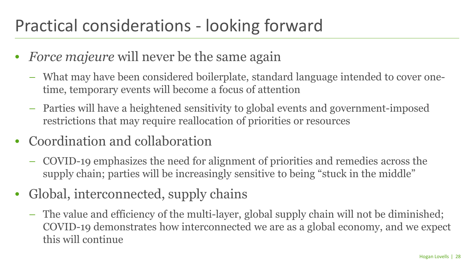# Practical considerations - looking forward

- *Force majeure* will never be the same again
	- What may have been considered boilerplate, standard language intended to cover onetime, temporary events will become a focus of attention
	- Parties will have a heightened sensitivity to global events and government-imposed restrictions that may require reallocation of priorities or resources
- Coordination and collaboration
	- COVID-19 emphasizes the need for alignment of priorities and remedies across the supply chain; parties will be increasingly sensitive to being "stuck in the middle"
- Global, interconnected, supply chains
	- The value and efficiency of the multi-layer, global supply chain will not be diminished; COVID-19 demonstrates how interconnected we are as a global economy, and we expect this will continue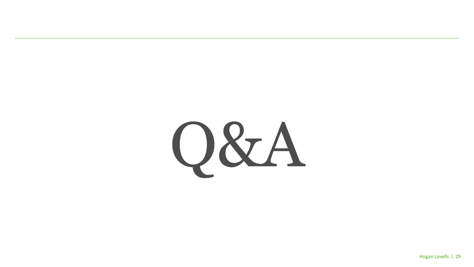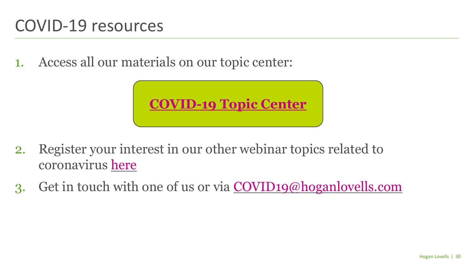### COVID-19 resources

1. Access all our materials on our topic center:



- 2. Register your interest in our other webinar topics related to coronavirus [here](https://ehoganlovells.com/s/299bcfbf24b03b48c261f0f6b6ce3da310c5ed06)
- 3. Get in touch with one of us or via [COVID19@hoganlovells.com](mailto:COVID19@hoganlovells.com)